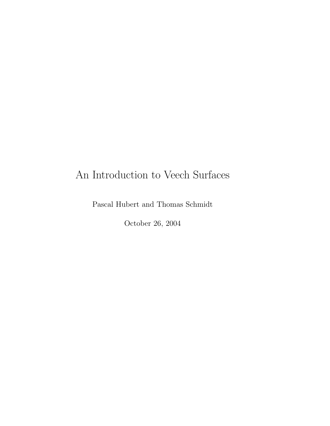# An Introduction to Veech Surfaces

Pascal Hubert and Thomas Schmidt

October 26, 2004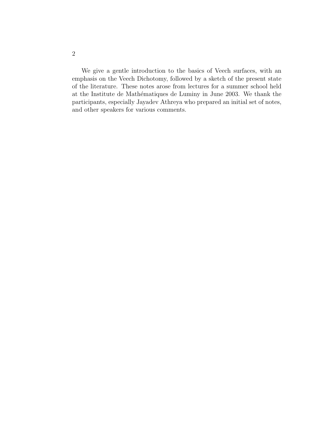We give a gentle introduction to the basics of Veech surfaces, with an emphasis on the Veech Dichotomy, followed by a sketch of the present state of the literature. These notes arose from lectures for a summer school held at the Institute de Mathématiques de Luminy in June 2003. We thank the participants, especially Jayadev Athreya who prepared an initial set of notes, and other speakers for various comments.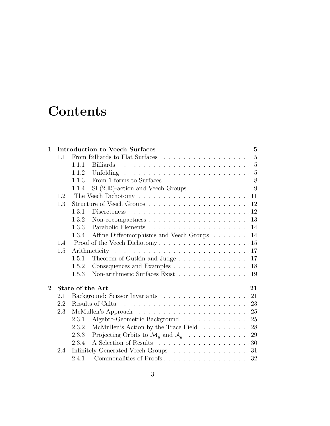# **Contents**

| 1        | <b>Introduction to Veech Surfaces</b> |                                                                         |                |  |  |  |  |  |  |  |  |  |  |
|----------|---------------------------------------|-------------------------------------------------------------------------|----------------|--|--|--|--|--|--|--|--|--|--|
|          | 1.1                                   | From Billiards to Flat Surfaces                                         | $\overline{5}$ |  |  |  |  |  |  |  |  |  |  |
|          |                                       | 1.1.1                                                                   | $\overline{5}$ |  |  |  |  |  |  |  |  |  |  |
|          |                                       | 1.1.2                                                                   | $\overline{5}$ |  |  |  |  |  |  |  |  |  |  |
|          |                                       | 1.1.3                                                                   | 8              |  |  |  |  |  |  |  |  |  |  |
|          |                                       | $SL(2,\mathbb{R})$ -action and Veech Groups<br>1.1.4                    | 9              |  |  |  |  |  |  |  |  |  |  |
|          | 1.2                                   | 11                                                                      |                |  |  |  |  |  |  |  |  |  |  |
|          | 1.3                                   | 12                                                                      |                |  |  |  |  |  |  |  |  |  |  |
|          |                                       | 12<br>1.3.1                                                             |                |  |  |  |  |  |  |  |  |  |  |
|          |                                       | 13<br>1.3.2                                                             |                |  |  |  |  |  |  |  |  |  |  |
|          |                                       | 14<br>1.3.3                                                             |                |  |  |  |  |  |  |  |  |  |  |
|          |                                       | Affine Diffeomorphisms and Veech Groups<br>14<br>1.3.4                  |                |  |  |  |  |  |  |  |  |  |  |
|          | 1.4                                   | Proof of the Veech Dichotomy<br>15                                      |                |  |  |  |  |  |  |  |  |  |  |
|          | 1.5                                   | 17                                                                      |                |  |  |  |  |  |  |  |  |  |  |
|          |                                       | 17<br>Theorem of Gutkin and Judge<br>1.5.1                              |                |  |  |  |  |  |  |  |  |  |  |
|          |                                       | Consequences and Examples<br>18<br>1.5.2                                |                |  |  |  |  |  |  |  |  |  |  |
|          |                                       | Non-arithmetic Surfaces Exist<br>1.5.3<br>19                            |                |  |  |  |  |  |  |  |  |  |  |
| $\bf{2}$ |                                       | State of the Art<br>21                                                  |                |  |  |  |  |  |  |  |  |  |  |
|          | 2.1                                   | Background: Scissor Invariants<br>21                                    |                |  |  |  |  |  |  |  |  |  |  |
|          | 2.2                                   | 23                                                                      |                |  |  |  |  |  |  |  |  |  |  |
|          | 2.3                                   | 25                                                                      |                |  |  |  |  |  |  |  |  |  |  |
|          |                                       | Algebro-Geometric Background<br>25<br>2.3.1                             |                |  |  |  |  |  |  |  |  |  |  |
|          |                                       | McMullen's Action by the Trace Field<br>28<br>2.3.2                     |                |  |  |  |  |  |  |  |  |  |  |
|          |                                       | Projecting Orbits to $\mathcal{M}_q$ and $\mathcal{A}_q$<br>2.3.3<br>29 |                |  |  |  |  |  |  |  |  |  |  |
|          |                                       | 30<br>2.3.4                                                             |                |  |  |  |  |  |  |  |  |  |  |
|          | 2.4                                   | 31<br>Infinitely Generated Veech Groups                                 |                |  |  |  |  |  |  |  |  |  |  |
|          |                                       | Commonalities of Proofs<br>32<br>2.4.1                                  |                |  |  |  |  |  |  |  |  |  |  |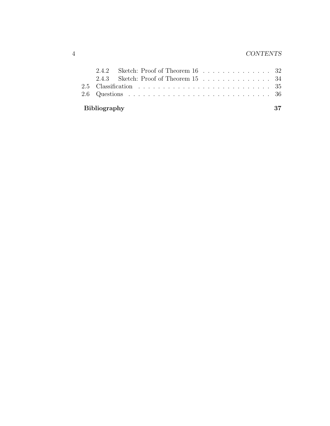| Bibliography |  |  |  |  |  |  |  |  |  | 37 |
|--------------|--|--|--|--|--|--|--|--|--|----|
|              |  |  |  |  |  |  |  |  |  |    |
|              |  |  |  |  |  |  |  |  |  |    |
|              |  |  |  |  |  |  |  |  |  |    |
|              |  |  |  |  |  |  |  |  |  |    |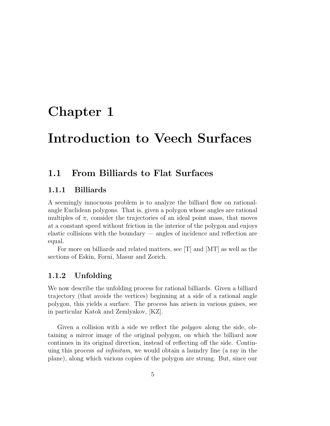# Chapter 1

# Introduction to Veech Surfaces

# 1.1 From Billiards to Flat Surfaces

## 1.1.1 Billiards

A seemingly innocuous problem is to analyze the billiard flow on rationalangle Euclidean polygons. That is, given a polygon whose angles are rational multiples of  $\pi$ , consider the trajectories of an ideal point mass, that moves at a constant speed without friction in the interior of the polygon and enjoys elastic collisions with the boundary — angles of incidence and reflection are equal.

For more on billiards and related matters, see [T] and [MT] as well as the sections of Eskin, Forni, Masur and Zorich.

## 1.1.2 Unfolding

We now describe the unfolding process for rational billiards. Given a billiard trajectory (that avoids the vertices) beginning at a side of a rational angle polygon, this yields a surface. The process has arisen in various guises, see in particular Katok and Zemlyakov, [KZ].

Given a collision with a side we reflect the polygon along the side, obtaining a mirror image of the original polygon, on which the billiard now continues in its original direction, instead of reflecting off the side. Continuing this process ad infinitum, we would obtain a laundry line (a ray in the plane), along which various copies of the polygon are strung. But, since our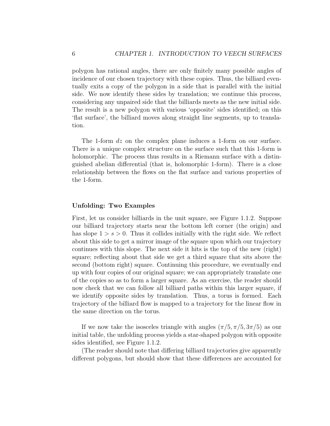polygon has rational angles, there are only finitely many possible angles of incidence of our chosen trajectory with these copies. Thus, the billiard eventually exits a copy of the polygon in a side that is parallel with the initial side. We now identify these sides by translation; we continue this process, considering any unpaired side that the billiards meets as the new initial side. The result is a new polygon with various 'opposite' sides identified; on this 'flat surface', the billiard moves along straight line segments, up to translation.

The 1-form  $dz$  on the complex plane induces a 1-form on our surface. There is a unique complex structure on the surface such that this 1-form is holomorphic. The process thus results in a Riemann surface with a distinguished abelian differential (that is, holomorphic 1-form). There is a close relationship between the flows on the flat surface and various properties of the 1-form.

### Unfolding: Two Examples

First, let us consider billiards in the unit square, see Figure 1.1.2. Suppose our billiard trajectory starts near the bottom left corner (the origin) and has slope  $1 > s > 0$ . Thus it collides initially with the right side. We reflect about this side to get a mirror image of the square upon which our trajectory continues with this slope. The next side it hits is the top of the new (right) square; reflecting about that side we get a third square that sits above the second (bottom right) square. Continuing this procedure, we eventually end up with four copies of our original square; we can appropriately translate one of the copies so as to form a larger square. As an exercise, the reader should now check that we can follow all billiard paths within this larger square, if we identify opposite sides by translation. Thus, a torus is formed. Each trajectory of the billiard flow is mapped to a trajectory for the linear flow in the same direction on the torus.

If we now take the isosceles triangle with angles  $(\pi/5, \pi/5, 3\pi/5)$  as our initial table, the unfolding process yields a star-shaped polygon with opposite sides identified, see Figure 1.1.2.

(The reader should note that differing billiard trajectories give apparently different polygons, but should show that these differences are accounted for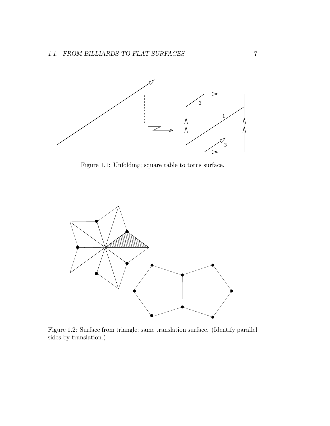

Figure 1.1: Unfolding; square table to torus surface.



Figure 1.2: Surface from triangle; same translation surface. (Identify parallel sides by translation.)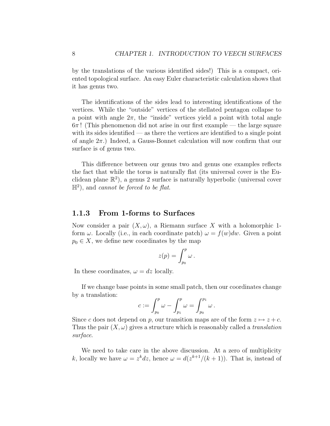by the translations of the various identified sides!) This is a compact, oriented topological surface. An easy Euler characteristic calculation shows that it has genus two.

The identifications of the sides lead to interesting identifications of the vertices. While the "outside" vertices of the stellated pentagon collapse to a point with angle  $2\pi$ , the "inside" vertices yield a point with total angle  $6\pi$ ! (This phenomenon did not arise in our first example — the large square with its sides identified — as there the vertices are identified to a single point of angle  $2\pi$ .) Indeed, a Gauss-Bonnet calculation will now confirm that our surface is of genus two.

This difference between our genus two and genus one examples reflects the fact that while the torus is naturally flat (its universal cover is the Euclidean plane  $\mathbb{R}^2$ ), a genus 2 surface is naturally hyperbolic (universal cover  $\mathbb{H}^2$ ), and cannot be forced to be flat.

### 1.1.3 From 1-forms to Surfaces

Now consider a pair  $(X, \omega)$ , a Riemann surface X with a holomorphic 1form  $\omega$ . Locally (i.e., in each coordinate patch)  $\omega = f(w)dw$ . Given a point  $p_0 \in X$ , we define new coordinates by the map

$$
z(p) = \int_{p_0}^p \omega \, .
$$

In these coordinates,  $\omega = dz$  locally.

If we change base points in some small patch, then our coordinates change by a translation:

$$
c:=\int_{p_0}^p\omega-\int_{p_1}^p\omega=\int_{p_0}^{p_1}\omega.
$$

Since c does not depend on p, our transition maps are of the form  $z \mapsto z + c$ . Thus the pair  $(X, \omega)$  gives a structure which is reasonably called a translation surface.

We need to take care in the above discussion. At a zero of multiplicity k, locally we have  $\omega = z^k dz$ , hence  $\omega = d(z^{k+1}/(k+1))$ . That is, instead of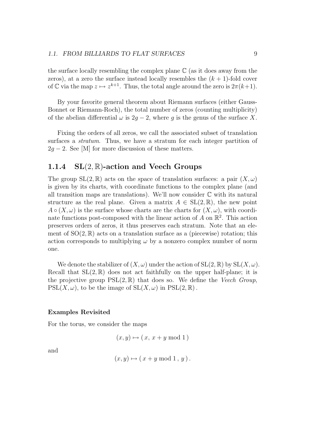the surface locally resembling the complex plane  $\mathbb C$  (as it does away from the zeros), at a zero the surface instead locally resembles the  $(k + 1)$ -fold cover of C via the map  $z \mapsto z^{k+1}$ . Thus, the total angle around the zero is  $2\pi(k+1)$ .

By your favorite general theorem about Riemann surfaces (either Gauss-Bonnet or Riemann-Roch), the total number of zeros (counting multiplicity) of the abelian differential  $\omega$  is 2q − 2, where q is the genus of the surface X.

Fixing the orders of all zeros, we call the associated subset of translation surfaces a stratum. Thus, we have a stratum for each integer partition of  $2q - 2$ . See [M] for more discussion of these matters.

## 1.1.4  $SL(2, \mathbb{R})$ -action and Veech Groups

The group  $SL(2,\mathbb{R})$  acts on the space of translation surfaces: a pair  $(X,\omega)$ is given by its charts, with coordinate functions to the complex plane (and all transition maps are translations). We'll now consider  $\mathbb C$  with its natural structure as the real plane. Given a matrix  $A \in SL(2,\mathbb{R})$ , the new point  $A \circ (X, \omega)$  is the surface whose charts are the charts for  $(X, \omega)$ , with coordinate functions post-composed with the linear action of  $\vec{A}$  on  $\mathbb{R}^2$ . This action preserves orders of zeros, it thus preserves each stratum. Note that an element of  $SO(2,\mathbb{R})$  acts on a translation surface as a (piecewise) rotation; this action corresponds to multiplying  $\omega$  by a nonzero complex number of norm one.

We denote the stabilizer of  $(X, \omega)$  under the action of  $SL(2, \mathbb{R})$  by  $SL(X, \omega)$ . Recall that  $SL(2,\mathbb{R})$  does not act faithfully on the upper half-plane; it is the projective group  $PSL(2,\mathbb{R})$  that does so. We define the Veech Group,  $PSL(X, \omega)$ , to be the image of  $SL(X, \omega)$  in  $PSL(2, \mathbb{R})$ .

### Examples Revisited

For the torus, we consider the maps

$$
(x, y) \mapsto (x, x + y \bmod 1)
$$

and

$$
(x, y) \mapsto (x + y \bmod 1, y).
$$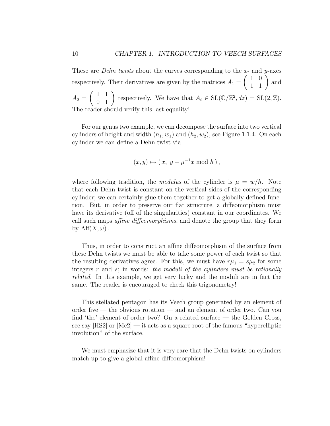These are *Dehn twists* about the curves corresponding to the  $x$ - and  $y$ -axes respectively. Their derivatives are given by the matrices  $A_1 =$  $\left(\begin{array}{cc} 1 & 0 \\ 1 & 1 \end{array}\right)$  and  $A_2 =$  $\begin{pmatrix} 1 & 1 \\ 0 & 1 \end{pmatrix}$  respectively. We have that  $A_i \in SL(\mathbb{C}/\mathbb{Z}^2, dz) = SL(2, \mathbb{Z})$ . The reader should verify this last equality!

For our genus two example, we can decompose the surface into two vertical cylinders of height and width  $(h_1, w_1)$  and  $(h_2, w_2)$ , see Figure 1.1.4. On each cylinder we can define a Dehn twist via

$$
(x, y) \mapsto (x, y + \mu^{-1} x \bmod h),
$$

where following tradition, the modulus of the cylinder is  $\mu = w/h$ . Note that each Dehn twist is constant on the vertical sides of the corresponding cylinder; we can certainly glue them together to get a globally defined function. But, in order to preserve our flat structure, a diffeomorphism must have its derivative (off of the singularities) constant in our coordinates. We call such maps affine diffeomorphisms, and denote the group that they form by  $\text{Aff}(X,\omega)$ .

Thus, in order to construct an affine diffeomorphism of the surface from these Dehn twists we must be able to take some power of each twist so that the resulting derivatives agree. For this, we must have  $r\mu_1 = s\mu_2$  for some integers  $r$  and  $s$ ; in words: the moduli of the cylinders must be rationally related. In this example, we get very lucky and the moduli are in fact the same. The reader is encouraged to check this trigonometry!

This stellated pentagon has its Veech group generated by an element of order five — the obvious rotation — and an element of order two. Can you find 'the' element of order two? On a related surface — the Golden Cross, see say  $[HS2]$  or  $[Mc2]$  — it acts as a square root of the famous "hyperelliptic involution" of the surface.

We must emphasize that it is very rare that the Dehn twists on cylinders match up to give a global affine diffeomorphism!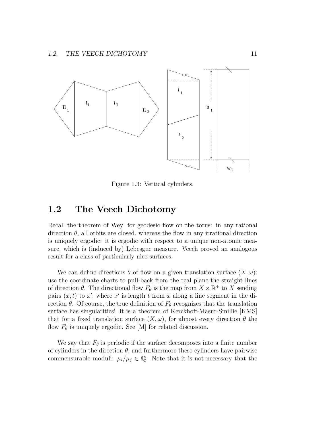

Figure 1.3: Vertical cylinders.

# 1.2 The Veech Dichotomy

Recall the theorem of Weyl for geodesic flow on the torus: in any rational direction  $\theta$ , all orbits are closed, whereas the flow in any irrational direction is uniquely ergodic: it is ergodic with respect to a unique non-atomic measure, which is (induced by) Lebesgue measure. Veech proved an analogous result for a class of particularly nice surfaces.

We can define directions  $\theta$  of flow on a given translation surface  $(X, \omega)$ : use the coordinate charts to pull-back from the real plane the straight lines of direction  $\theta$ . The directional flow  $F_{\theta}$  is the map from  $X \times \mathbb{R}^+$  to X sending pairs  $(x, t)$  to x', where x' is length t from x along a line segment in the direction  $\theta$ . Of course, the true definition of  $F_{\theta}$  recognizes that the translation surface has singularities! It is a theorem of Kerckhoff-Masur-Smillie [KMS] that for a fixed translation surface  $(X, \omega)$ , for almost every direction  $\theta$  the flow  $F_{\theta}$  is uniquely ergodic. See [M] for related discussion.

We say that  $F_{\theta}$  is periodic if the surface decomposes into a finite number of cylinders in the direction  $\theta$ , and furthermore these cylinders have pairwise commensurable moduli:  $\mu_i/\mu_j \in \mathbb{Q}$ . Note that it is not necessary that the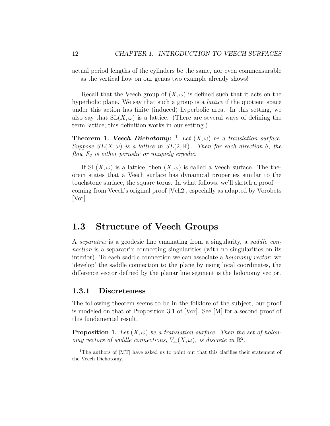actual period lengths of the cylinders be the same, nor even commensurable — as the vertical flow on our genus two example already shows!

Recall that the Veech group of  $(X, \omega)$  is defined such that it acts on the hyperbolic plane. We say that such a group is a lattice if the quotient space under this action has finite (induced) hyperbolic area. In this setting, we also say that  $SL(X, \omega)$  is a lattice. (There are several ways of defining the term lattice; this definition works in our setting.)

**Theorem 1. Veech Dichotomy:** <sup>1</sup> Let  $(X, \omega)$  be a translation surface. Suppose  $SL(X, \omega)$  is a lattice in  $SL(2, \mathbb{R})$ . Then for each direction  $\theta$ , the flow  $F_{\theta}$  is either periodic or uniquely ergodic.

If  $SL(X, \omega)$  is a lattice, then  $(X, \omega)$  is called a Veech surface. The theorem states that a Veech surface has dynamical properties similar to the touchstone surface, the square torus. In what follows, we'll sketch a proof coming from Veech's original proof [Vch2], especially as adapted by Vorobets [Vor].

# 1.3 Structure of Veech Groups

A separatrix is a geodesic line emanating from a singularity, a saddle connection is a separatrix connecting singularities (with no singularities on its interior). To each saddle connection we can associate a *holonomy vector*: we 'develop' the saddle connection to the plane by using local coordinates, the difference vector defined by the planar line segment is the holonomy vector.

### 1.3.1 Discreteness

The following theorem seems to be in the folklore of the subject, our proof is modeled on that of Proposition 3.1 of [Vor]. See [M] for a second proof of this fundamental result.

**Proposition 1.** Let  $(X, \omega)$  be a translation surface. Then the set of holonomy vectors of saddle connections,  $V_{sc}(X,\omega)$ , is discrete in  $\mathbb{R}^2$ .

<sup>&</sup>lt;sup>1</sup>The authors of [MT] have asked us to point out that this clarifies their statement of the Veech Dichotomy.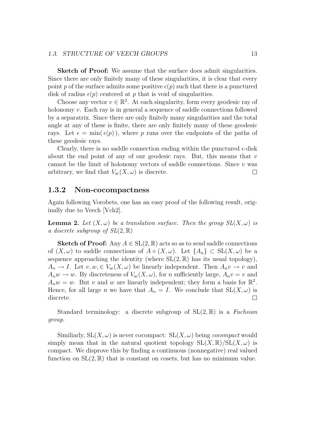### 1.3. STRUCTURE OF VEECH GROUPS 13

Sketch of Proof: We assume that the surface does admit singularities. Since there are only finitely many of these singularities, it is clear that every point p of the surface admits some positive  $\epsilon(p)$  such that there is a punctured disk of radius  $\epsilon(p)$  centered at p that is void of singularities.

Choose any vector  $v \in \mathbb{R}^2$ . At each singularity, form every geodesic ray of holonomy v. Each ray is in general a sequence of saddle connections followed by a separatrix. Since there are only finitely many singularities and the total angle at any of these is finite, there are only finitely many of these geodesic rays. Let  $\epsilon = \min(\epsilon(p))$ , where p runs over the endpoints of the paths of these geodesic rays.

Clearly, there is no saddle connection ending within the punctured  $\epsilon$ -disk about the end point of any of our geodesic rays. But, this means that  $v$ cannot be the limit of holonomy vectors of saddle connections. Since  $v$  was arbitrary, we find that  $V_{\rm sc}(X,\omega)$  is discrete.  $\Box$ 

### 1.3.2 Non-cocompactness

Again following Vorobets, one has an easy proof of the following result, originally due to Veech [Vch2].

**Lemma 2.** Let  $(X, \omega)$  be a translation surface. Then the group  $SL(X, \omega)$  is a discrete subgroup of  $SL(2,\mathbb{R})$ 

**Sketch of Proof:** Any  $A \in SL(2, \mathbb{R})$  acts so as to send saddle connections of  $(X, \omega)$  to saddle connections of  $A \circ (X, \omega)$ . Let  $\{A_n\} \subset SL(X, \omega)$  be a sequence approaching the identity (where  $SL(2,\mathbb{R})$  has its usual topology),  $A_n \to I$ . Let  $v, w \in V_{\rm sc}(X, \omega)$  be linearly independent. Then  $A_n v \to v$  and  $A_n w \to w$ . By discreteness of  $V_{\rm sc}(X, \omega)$ , for *n* sufficiently large,  $A_n v = v$  and  $A_n w = w$ . But v and w are linearly independent; they form a basis for  $\mathbb{R}^2$ . Hence, for all large *n* we have that  $A_n = I$ . We conclude that  $SL(X, \omega)$  is discrete.  $\Box$ 

Standard terminology: a discrete subgroup of  $SL(2,\mathbb{R})$  is a Fuchsian group.

Similiarly,  $SL(X, \omega)$  is never cocompact:  $SL(X, \omega)$  being *cocompact* would simply mean that in the natural quotient topology  $SL(X, \mathbb{R})/SL(X, \omega)$  is compact. We disprove this by finding a continuous (nonnegative) real valued function on  $SL(2,\mathbb{R})$  that is constant on cosets, but has no minimum value.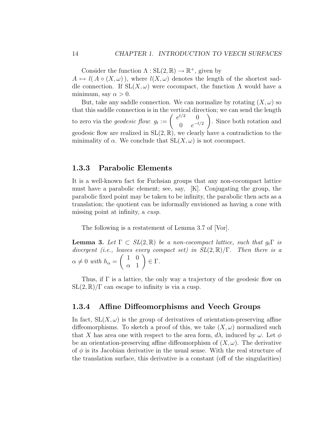Consider the function  $\Lambda : SL(2, \mathbb{R}) \to \mathbb{R}^+$ , given by  $A \mapsto l(A \circ (X, \omega))$ , where  $l(X, \omega)$  denotes the length of the shortest saddle connection. If  $SL(X, \omega)$  were cocompact, the function  $\Lambda$  would have a minimum, say  $\alpha > 0$ .

But, take any saddle connection. We can normalize by rotating  $(X, \omega)$  so that this saddle connection is in the vertical direction; we can send the length to zero via the *geodesic flow*:  $g_t := \begin{pmatrix} e^{t/2} & 0 \\ 0 & e^{-t} \end{pmatrix}$ 0  $e^{-t/2}$  $\setminus$ . Since both rotation and geodesic flow are realized in  $SL(2,\mathbb{R})$ , we clearly have a contradiction to the minimality of  $\alpha$ . We conclude that  $SL(X, \omega)$  is not cocompact.

### 1.3.3 Parabolic Elements

It is a well-known fact for Fuchsian groups that any non-cocompact lattice must have a parabolic element; see, say, [K]. Conjugating the group, the parabolic fixed point may be taken to be infinity, the parabolic then acts as a translation; the quotient can be informally envisioned as having a cone with missing point at infinity, a cusp.

The following is a restatement of Lemma 3.7 of [Vor].

**Lemma 3.** Let  $\Gamma \subset SL(2,\mathbb{R})$  be a non-cocompact lattice, such that  $q_t\Gamma$  is divergent (i.e., leaves every compact set) in  $SL(2,\mathbb{R})/\Gamma$ . Then there is a  $\alpha \neq 0$  with  $h_{\alpha} =$  $\begin{pmatrix} 1 & 0 \end{pmatrix}$  $\alpha$  1  $\setminus$ ∈ Γ.

Thus, if  $\Gamma$  is a lattice, the only way a trajectory of the geodesic flow on  $SL(2,\mathbb{R})/\Gamma$  can escape to infinity is via a cusp.

### 1.3.4 Affine Diffeomorphisms and Veech Groups

In fact,  $SL(X, \omega)$  is the group of derivatives of orientation-preserving affine diffeomorphisms. To sketch a proof of this, we take  $(X, \omega)$  normalized such that X has area one with respect to the area form,  $d\lambda$ , induced by  $\omega$ . Let  $\phi$ be an orientation-preserving affine diffeomorphism of  $(X, \omega)$ . The derivative of  $\phi$  is its Jacobian derivative in the usual sense. With the real structure of the translation surface, this derivative is a constant (off of the singularities)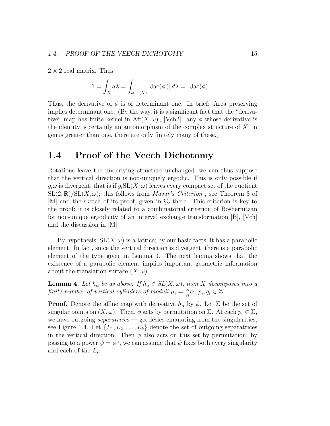$2 \times 2$  real matrix. Thus

$$
1 = \int_X d\lambda = \int_{\phi^{-1}(X)} |Jac(\phi)| d\lambda = |Jac(\phi)|.
$$

Thus, the derivative of  $\phi$  is of determinant one. In brief: Area preserving implies determinant one. (By the way, it is a significant fact that the "derivative" map has finite kernel in  $\text{Aff}(X,\omega)$ , [Vch2]: any  $\phi$  whose derivative is the identity is certainly an automorphism of the complex structure of  $X$ , in genus greater than one, there are only finitely many of these.)

## 1.4 Proof of the Veech Dichotomy

Rotations leave the underlying structure unchanged, we can thus suppose that the vertical direction is non-uniquely ergodic. This is only possible if  $g_t\omega$  is divergent, that is if  $g_t\mathrm{SL}(X,\omega)$  leaves every compact set of the quotient  $SL(2,\mathbb{R})/SL(X,\omega)$ ; this follows from *Masur's Criterion*, see Theorem 3 of [M] and the sketch of its proof, given in §3 there. This criterion is key to the proof; it is closely related to a combinatorial criterion of Boshernitzan for non-unique ergodicity of an interval exchange transformation [B], [Vch] and the discussion in [M].

By hypothesis,  $SL(X, \omega)$  is a lattice; by our basic facts, it has a parabolic element. In fact, since the vertical direction is divergent, there is a parabolic element of the type given in Lemma 3. The next lemma shows that the existence of a parabolic element implies important geometric information about the translation surface  $(X, \omega)$ .

**Lemma 4.** Let  $h_{\alpha}$  be as above. If  $h_{\alpha} \in SL(X, \omega)$ , then X decomposes into a finite number of vertical cylinders of moduli  $\mu_i = \frac{p_i}{q_i}$  $\frac{p_i}{q_i}\alpha, p_i, q_i \in \mathbb{Z}$ .

**Proof.** Denote the affine map with derivative  $h_{\alpha}$  by  $\phi$ . Let  $\Sigma$  be the set of singular points on  $(X, \omega)$ . Then,  $\phi$  acts by permutation on  $\Sigma$ . At each  $p_i \in \Sigma$ , we have outgoing *separatrices* — geodesics emanating from the singularities, see Figure 1.4. Let  $\{L_1, L_2, \ldots, L_k\}$  denote the set of outgoing separatrices in the vertical direction. Then  $\phi$  also acts on this set by permutation; by passing to a power  $\psi = \phi^n$ , we can assume that  $\psi$  fixes both every singularity and each of the  $L_i$ .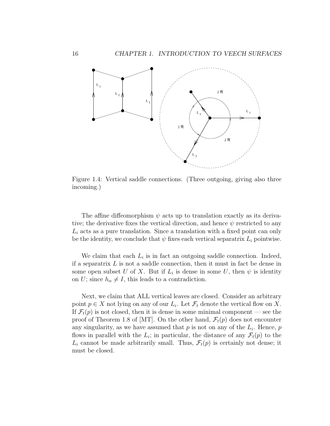

Figure 1.4: Vertical saddle connections. (Three outgoing, giving also three incoming.)

The affine diffeomorphism  $\psi$  acts up to translation exactly as its derivative; the derivative fixes the vertical direction, and hence  $\psi$  restricted to any  $L_i$  acts as a pure translation. Since a translation with a fixed point can only be the identity, we conclude that  $\psi$  fixes each vertical separatrix  $L_i$  pointwise.

We claim that each  $L_i$  is in fact an outgoing saddle connection. Indeed, if a separatrix  $L$  is not a saddle connection, then it must in fact be dense in some open subset U of X. But if  $L_i$  is dense in some U, then  $\psi$  is identity on U; since  $h_{\alpha} \neq I$ , this leads to a contradiction.

Next, we claim that ALL vertical leaves are closed. Consider an arbitrary point  $p \in X$  not lying on any of our  $L_i$ . Let  $\mathcal{F}_t$  denote the vertical flow on X. If  $\mathcal{F}_t(p)$  is not closed, then it is dense in some minimal component — see the proof of Theorem 1.8 of [MT]. On the other hand,  $\mathcal{F}_t(p)$  does not encounter any singularity, as we have assumed that  $p$  is not on any of the  $L_i$ . Hence,  $p$ flows in parallel with the  $L_i$ ; in particular, the distance of any  $\mathcal{F}_t(p)$  to the  $L_i$  cannot be made arbitrarily small. Thus,  $\mathcal{F}_t(p)$  is certainly not dense; it must be closed.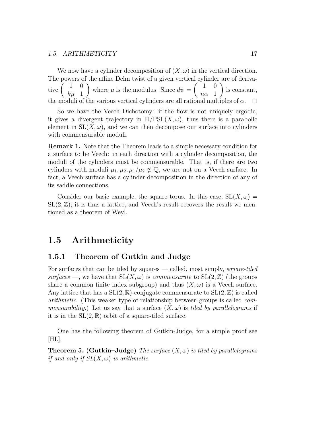#### 1.5. ARITHMETICITY 17

We now have a cylinder decomposition of  $(X, \omega)$  in the vertical direction. The powers of the affine Dehn twist of a given vertical cylinder are of derivative  $\begin{pmatrix} 1 & 0 \\ \frac{1}{2} & 1 \end{pmatrix}$  $\setminus$  $\begin{pmatrix} 1 & 0 \end{pmatrix}$  $\setminus$ where  $\mu$  is the modulus. Since  $d\psi =$ is constant,  $k\mu$  1  $n\alpha$  1 the moduli of the various vertical cylinders are all rational multiples of  $\alpha$ .  $\Box$ 

So we have the Veech Dichotomy: if the flow is not uniquely ergodic, it gives a divergent trajectory in  $\mathbb{H}/PSL(X,\omega)$ , thus there is a parabolic element in  $SL(X, \omega)$ , and we can then decompose our surface into cylinders with commensurable moduli.

Remark 1. Note that the Theorem leads to a simple necessary condition for a surface to be Veech: in each direction with a cylinder decomposition, the moduli of the cylinders must be commensurable. That is, if there are two cylinders with moduli  $\mu_1, \mu_2, \mu_1/\mu_2 \notin \mathbb{Q}$ , we are not on a Veech surface. In fact, a Veech surface has a cylinder decomposition in the direction of any of its saddle connections.

Consider our basic example, the square torus. In this case,  $SL(X, \omega) =$  $SL(2,\mathbb{Z})$ ; it is thus a lattice, and Veech's result recovers the result we mentioned as a theorem of Weyl.

## 1.5 Arithmeticity

### 1.5.1 Theorem of Gutkin and Judge

For surfaces that can be tiled by squares — called, most simply, *square-tiled* surfaces —, we have that  $SL(X, \omega)$  is *commensurate* to  $SL(2, \mathbb{Z})$  (the groups share a common finite index subgroup) and thus  $(X, \omega)$  is a Veech surface. Any lattice that has a  $SL(2,\mathbb{R})$ -conjugate commensurate to  $SL(2,\mathbb{Z})$  is called arithmetic. (This weaker type of relationship between groups is called commensurability.) Let us say that a surface  $(X, \omega)$  is tiled by parallelograms if it is in the  $SL(2,\mathbb{R})$  orbit of a square-tiled surface.

One has the following theorem of Gutkin-Judge, for a simple proof see  $|HL|.$ 

**Theorem 5. (Gutkin–Judge)** The surface  $(X, \omega)$  is tiled by parallelograms if and only if  $SL(X, \omega)$  is arithmetic.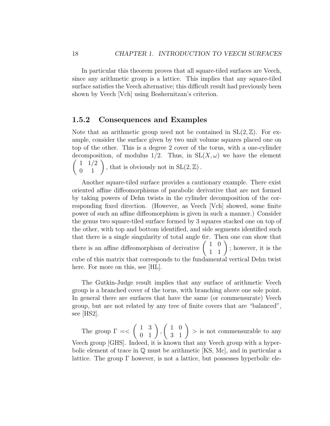In particular this theorem proves that all square-tiled surfaces are Veech, since any arithmetic group is a lattice. This implies that any square-tiled surface satisfies the Veech alternative; this difficult result had previously been shown by Veech [Vch] using Boshernitzan's criterion.

## 1.5.2 Consequences and Examples

Note that an arithmetic group need not be contained in  $SL(2, \mathbb{Z})$ . For example, consider the surface given by two unit volume squares placed one on top of the other. This is a degree 2 cover of the torus, with a one-cylinder decomposition, of modulus 1/2. Thus, in  $SL(X, \omega)$  we have the element  $\begin{pmatrix} 1 & 1/2 \\ 0 & 1 \end{pmatrix}$ , that is obviously not in  $SL(2, \mathbb{Z})$ .

Another square-tiled surface provides a cautionary example. There exist oriented affine diffeomorphisms of parabolic derivative that are not formed by taking powers of Dehn twists in the cylinder decomposition of the corresponding fixed direction. (However, as Veech [Vch] showed, some finite power of such an affine diffeomorphism is given in such a manner.) Consider the genus two square-tiled surface formed by 3 squares stacked one on top of the other, with top and bottom identified, and side segments identified such that there is a single singularity of total angle  $6\pi$ . Then one can show that there is an affine diffeomorphism of derivative  $\begin{pmatrix} 1 & 0 \\ 1 & 1 \end{pmatrix}$ ; however, it is the cube of this matrix that corresponds to the fundamental vertical Dehn twist here. For more on this, see [HL].

The Gutkin-Judge result implies that any surface of arithmetic Veech group is a branched cover of the torus, with branching above one sole point. In general there are surfaces that have the same (or commensurate) Veech group, but are not related by any tree of finite covers that are "balanced", see [HS2].

The group  $\Gamma = \lt$  $\left(\begin{array}{cc} 1 & 3 \\ 0 & 1 \end{array}\right),$  $\begin{pmatrix} 1 & 0 \\ 3 & 1 \end{pmatrix}$  > is not commensurable to any Veech group [GHS]. Indeed, it is known that any Veech group with a hyperbolic element of trace in  $\mathbb Q$  must be arithmetic [KS, Mc], and in particular a lattice. The group  $\Gamma$  however, is not a lattice, but possesses hyperbolic ele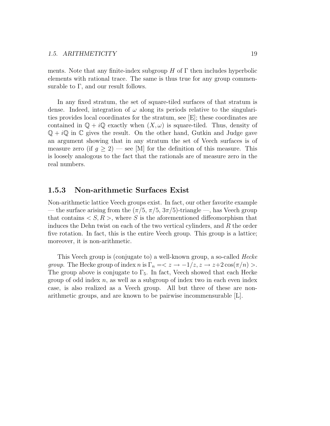ments. Note that any finite-index subgroup H of  $\Gamma$  then includes hyperbolic elements with rational trace. The same is thus true for any group commensurable to  $\Gamma$ , and our result follows.

In any fixed stratum, the set of square-tiled surfaces of that stratum is dense. Indeed, integration of  $\omega$  along its periods relative to the singularities provides local coordinates for the stratum, see [E]; these coordinates are contained in  $\mathbb{Q} + i\mathbb{Q}$  exactly when  $(X, \omega)$  is square-tiled. Thus, density of  $\mathbb{Q} + i\mathbb{Q}$  in  $\mathbb{C}$  gives the result. On the other hand, Gutkin and Judge gave an argument showing that in any stratum the set of Veech surfaces is of measure zero (if  $q > 2$ ) — see [M] for the definition of this measure. This is loosely analogous to the fact that the rationals are of measure zero in the real numbers.

### 1.5.3 Non-arithmetic Surfaces Exist

Non-arithmetic lattice Veech groups exist. In fact, our other favorite example — the surface arising from the  $(\pi/5, \pi/5, 3\pi/5)$ -triangle —, has Veech group that contains  $\langle S, R \rangle$ , where S is the aforementioned diffeomorphism that induces the Dehn twist on each of the two vertical cylinders, and R the order five rotation. In fact, this is the entire Veech group. This group is a lattice; moreover, it is non-arithmetic.

This Veech group is (conjugate to) a well-known group, a so-called Hecke *group.* The Hecke group of index n is  $\Gamma_n = \langle z \rangle -1/z, z \rangle = z+2\cos(\pi/n) >$ . The group above is conjugate to  $\Gamma_5$ . In fact, Veech showed that each Hecke group of odd index  $n$ , as well as a subgroup of index two in each even index case, is also realized as a Veech group. All but three of these are nonarithmetic groups, and are known to be pairwise incommensurable [L].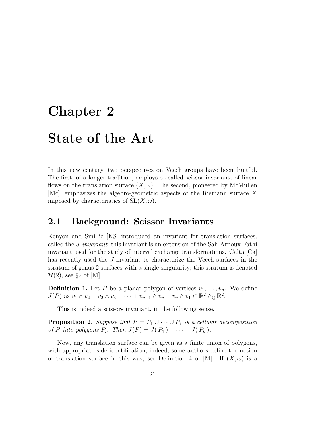# Chapter 2

# State of the Art

In this new century, two perspectives on Veech groups have been fruitful. The first, of a longer tradition, employs so-called scissor invariants of linear flows on the translation surface  $(X, \omega)$ . The second, pioneered by McMullen [Mc], emphasizes the algebro-geometric aspects of the Riemann surface X imposed by characteristics of  $SL(X, \omega)$ .

## 2.1 Background: Scissor Invariants

Kenyon and Smillie [KS] introduced an invariant for translation surfaces, called the J-invariant; this invariant is an extension of the Sah-Arnoux-Fathi invariant used for the study of interval exchange transformations. Calta [Ca] has recently used the J-invariant to characterize the Veech surfaces in the stratum of genus 2 surfaces with a single singularity; this stratum is denoted  $\mathcal{H}(2)$ , see §2 of [M].

**Definition 1.** Let P be a planar polygon of vertices  $v_1, \ldots, v_n$ . We define  $J(P)$  as  $v_1 \wedge v_2 + v_2 \wedge v_3 + \cdots + v_{n-1} \wedge v_n + v_n \wedge v_1 \in \mathbb{R}^2 \wedge_{\mathbb{Q}} \mathbb{R}^2$ .

This is indeed a scissors invariant, in the following sense.

**Proposition 2.** Suppose that  $P = P_1 \cup \cdots \cup P_k$  is a cellular decomposition of P into polygons  $P_i$ . Then  $J(P) = J(P_1) + \cdots + J(P_k)$ .

Now, any translation surface can be given as a finite union of polygons, with appropriate side identification; indeed, some authors define the notion of translation surface in this way, see Definition 4 of [M]. If  $(X, \omega)$  is a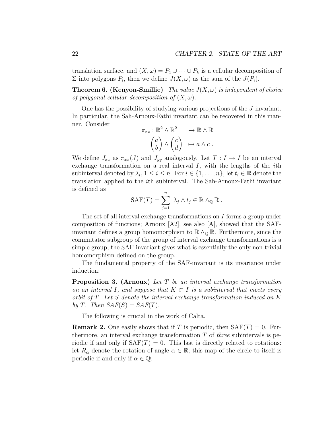translation surface, and  $(X, \omega) = P_1 \cup \cdots \cup P_k$  is a cellular decomposition of  $\Sigma$  into polygons  $P_i$ , then we define  $J(X, \omega)$  as the sum of the  $J(P_i)$ .

**Theorem 6. (Kenyon-Smillie)** The value  $J(X, \omega)$  is independent of choice of polygonal cellular decomposition of  $(X, \omega)$ .

One has the possibility of studying various projections of the J-invariant. In particular, the Sah-Arnoux-Fathi invariant can be recovered in this manner. Consider

$$
\pi_{xx} : \mathbb{R}^2 \wedge \mathbb{R}^2 \longrightarrow \mathbb{R} \wedge \mathbb{R}
$$

$$
\begin{pmatrix} a \\ b \end{pmatrix} \wedge \begin{pmatrix} c \\ d \end{pmatrix} \mapsto a \wedge c \ .
$$

We define  $J_{xx}$  as  $\pi_{xx}(J)$  and  $J_{yy}$  analogously. Let  $T: I \to I$  be an interval exchange transformation on a real interval  $I$ , with the lengths of the *i*th subinterval denoted by  $\lambda_i, 1 \leq i \leq n$ . For  $i \in \{1, ..., n\}$ , let  $t_i \in \mathbb{R}$  denote the translation applied to the ith subinterval. The Sah-Arnoux-Fathi invariant is defined as

$$
SAF(T) = \sum_{j=1}^{n} \lambda_j \wedge t_j \in \mathbb{R} \wedge_{\mathbb{Q}} \mathbb{R} .
$$

The set of all interval exchange transformations on I forms a group under composition of functions; Arnoux [A2], see also [A], showed that the SAFinvariant defines a group homomorphism to  $\mathbb{R} \wedge_{\mathbb{Q}} \mathbb{R}$ . Furthermore, since the commutator subgroup of the group of interval exchange transformations is a simple group, the SAF-invariant gives what is essentially the only non-trivial homomorphism defined on the group.

The fundamental property of the SAF-invariant is its invariance under induction:

Proposition 3. (Arnoux) Let T be an interval exchange transformation on an interval I, and suppose that  $K \subset I$  is a subinterval that meets every orbit of T. Let S denote the interval exchange transformation induced on K by T. Then  $SAF(S) = SAF(T)$ .

The following is crucial in the work of Calta.

**Remark 2.** One easily shows that if T is periodic, then  $SAF(T) = 0$ . Furthermore, an interval exchange transformation  $T$  of *three* subintervals is periodic if and only if  $SAF(T) = 0$ . This last is directly related to rotations: let  $R_{\alpha}$  denote the rotation of angle  $\alpha \in \mathbb{R}$ ; this map of the circle to itself is periodic if and only if  $\alpha \in \mathbb{Q}$ .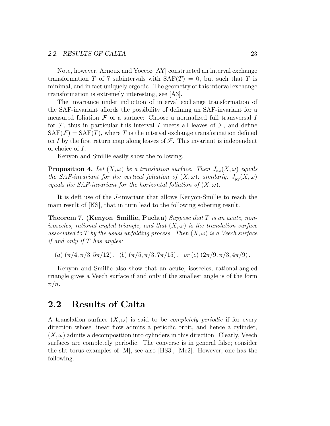Note, however, Arnoux and Yoccoz [AY] constructed an interval exchange transformation T of 7 subintervals with  $\text{SAF}(T) = 0$ , but such that T is minimal, and in fact uniquely ergodic. The geometry of this interval exchange transformation is extremely interesting, see [A3].

The invariance under induction of interval exchange transformation of the SAF-invariant affords the possibility of defining an SAF-invariant for a measured foliation  $\mathcal F$  of a surface: Choose a normalized full transversal I for  $\mathcal{F}$ , thus in particular this interval I meets all leaves of  $\mathcal{F}$ , and define  $SAF(\mathcal{F}) = SAF(T)$ , where T is the interval exchange transformation defined on I by the first return map along leaves of  $\mathcal F$ . This invariant is independent of choice of I.

Kenyon and Smillie easily show the following.

**Proposition 4.** Let  $(X, \omega)$  be a translation surface. Then  $J_{xx}(X, \omega)$  equals the SAF-invariant for the vertical foliation of  $(X, \omega)$ ; similarly,  $J_{yy}(X, \omega)$ equals the SAF-invariant for the horizontal foliation of  $(X, \omega)$ .

It is deft use of the J-invariant that allows Kenyon-Smillie to reach the main result of [KS], that in turn lead to the following sobering result.

**Theorem 7. (Kenyon–Smillie, Puchta)** Suppose that  $T$  is an acute, nonisosceles, rational-angled triangle, and that  $(X,\omega)$  is the translation surface associated to T by the usual unfolding process. Then  $(X, \omega)$  is a Veech surface *if and only if*  $T$  has angles:

(a)  $(\pi/4, \pi/3, 5\pi/12)$ , (b)  $(\pi/5, \pi/3, 7\pi/15)$ , or (c)  $(2\pi/9, \pi/3, 4\pi/9)$ .

Kenyon and Smillie also show that an acute, isosceles, rational-angled triangle gives a Veech surface if and only if the smallest angle is of the form  $\pi/n$ .

## 2.2 Results of Calta

A translation surface  $(X, \omega)$  is said to be *completely periodic* if for every direction whose linear flow admits a periodic orbit, and hence a cylinder,  $(X, \omega)$  admits a decomposition into cylinders in this direction. Clearly, Veech surfaces are completely periodic. The converse is in general false; consider the slit torus examples of  $|M|$ , see also  $|HS3|$ ,  $|Mc2|$ . However, one has the following.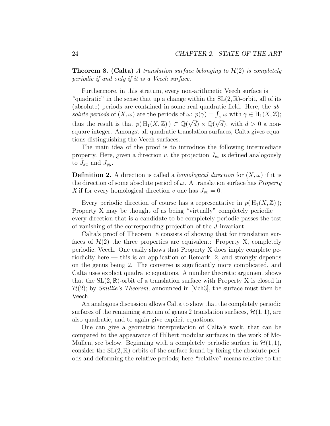**Theorem 8. (Calta)** A translation surface belonging to  $\mathcal{H}(2)$  is completely periodic if and only if it is a Veech surface.

Furthermore, in this stratum, every non-arithmetic Veech surface is "quadratic" in the sense that up a change within the  $SL(2,\mathbb{R})$ -orbit, all of its (absolute) periods are contained in some real quadratic field. Here, the ab*solute periods* of  $(X, \omega)$  are the periods of  $\omega: p(\gamma) = \int_{\gamma} \omega \text{ with } \gamma \in H_1(X, \mathbb{Z});$ thus the result is that  $p(H_1(X,\mathbb{Z})) \subset \mathbb{Q}(\sqrt{d}) \times \mathbb{Q}(\sqrt{d})$ , with  $d > 0$  a nonsquare integer. Amongst all quadratic translation surfaces, Calta gives equations distinguishing the Veech surfaces.

The main idea of the proof is to introduce the following intermediate property. Here, given a direction  $v$ , the projection  $J_{vv}$  is defined analogously to  $J_{xx}$  and  $J_{yy}$ .

**Definition 2.** A direction is called a *homological direction* for  $(X, \omega)$  if it is the direction of some absolute period of  $\omega$ . A translation surface has *Property* X if for every homological direction v one has  $J_{vv} = 0$ .

Every periodic direction of course has a representative in  $p(H_1(X,\mathbb{Z}))$ ; Property X may be thought of as being "virtually" completely periodic every direction that is a candidate to be completely periodic passes the test of vanishing of the corresponding projection of the J-invariant.

Calta's proof of Theorem 8 consists of showing that for translation surfaces of  $\mathcal{H}(2)$  the three properties are equivalent: Property X, completely periodic, Veech. One easily shows that Property X does imply complete periodicity here — this is an application of Remark  $\,$  2, and strongly depends on the genus being 2. The converse is significantly more complicated, and Calta uses explicit quadratic equations. A number theoretic argument shows that the  $SL(2,\mathbb{R})$ -orbit of a translation surface with Property X is closed in  $\mathcal{H}(2)$ ; by *Smillie's Theorem*, announced in [Vch3], the surface must then be Veech.

An analogous discussion allows Calta to show that the completely periodic surfaces of the remaining stratum of genus 2 translation surfaces,  $\mathcal{H}(1, 1)$ , are also quadratic, and to again give explicit equations.

One can give a geometric interpretation of Calta's work, that can be compared to the appearance of Hilbert modular surfaces in the work of Mc-Mullen, see below. Beginning with a completely periodic surface in  $\mathcal{H}(1, 1)$ , consider the  $SL(2,\mathbb{R})$ -orbits of the surface found by fixing the absolute periods and deforming the relative periods; here "relative" means relative to the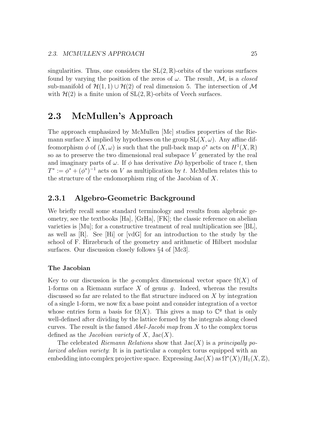singularities. Thus, one considers the  $SL(2,\mathbb{R})$ -orbits of the various surfaces found by varying the position of the zeros of  $\omega$ . The result, M, is a *closed* sub-manifold of  $\mathcal{H}(1,1) \cup \mathcal{H}(2)$  of real dimension 5. The intersection of  $\mathcal M$ with  $\mathcal{H}(2)$  is a finite union of  $SL(2,\mathbb{R})$ -orbits of Veech surfaces.

# 2.3 McMullen's Approach

The approach emphasized by McMullen [Mc] studies properties of the Riemann surface X implied by hypotheses on the group  $SL(X, \omega)$ . Any affine diffeomorphism  $\phi$  of  $(X, \omega)$  is such that the pull-back map  $\phi^*$  acts on  $H^1(X, \mathbb{R})$ so as to preserve the two dimensional real subspace  $V$  generated by the real and imaginary parts of  $\omega$ . If  $\phi$  has derivative  $D\phi$  hyperbolic of trace t, then  $T^* := \phi^* + (\phi^*)^{-1}$  acts on V as multiplication by t. McMullen relates this to the structure of the endomorphism ring of the Jacobian of X.

### 2.3.1 Algebro-Geometric Background

We briefly recall some standard terminology and results from algebraic geometry, see the textbooks [Ha], [GrHa], [FK]; the classic reference on abelian varieties is [Mu]; for a constructive treatment of real multiplication see [BL], as well as  $[R]$ . See  $[H_1]$  or  $[vdG]$  for an introduction to the study by the school of F. Hirzebruch of the geometry and arithmetic of Hilbert modular surfaces. Our discussion closely follows §4 of [Mc3].

### The Jacobian

Key to our discussion is the q-complex dimensional vector space  $\Omega(X)$  of 1-forms on a Riemann surface  $X$  of genus  $g$ . Indeed, whereas the results discussed so far are related to the flat structure induced on X by integration of a single 1-form, we now fix a base point and consider integration of a vector whose entries form a basis for  $\Omega(X)$ . This gives a map to  $\mathbb{C}^g$  that is only well-defined after dividing by the lattice formed by the integrals along closed curves. The result is the famed *Abel-Jacobi map* from X to the complex torus defined as the *Jacobian variety* of X,  $Jac(X)$ .

The celebrated Riemann Relations show that  $Jac(X)$  is a principally polarized abelian variety: It is in particular a complex torus equipped with an embedding into complex projective space. Expressing  $\text{Jac}(X)$  as  $\Omega^*(X)/\text{H}_1(X,\mathbb{Z}),$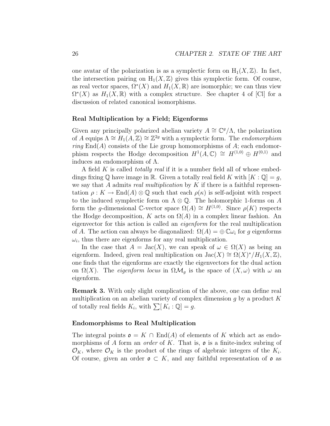one avatar of the polarization is as a symplectic form on  $H_1(X,\mathbb{Z})$ . In fact, the intersection pairing on  $H_1(X,\mathbb{Z})$  gives this symplectic form. Of course, as real vector spaces,  $\Omega^*(X)$  and  $H_1(X,\mathbb{R})$  are isomorphic; we can thus view  $\Omega^*(X)$  as  $H_1(X,\mathbb{R})$  with a complex structure. See chapter 4 of [Cl] for a discussion of related canonical isomorphisms.

#### Real Multiplication by a Field; Eigenforms

Given any principally polarized abelian variety  $A \cong \mathbb{C}^g/\Lambda$ , the polarization of A equips  $\Lambda \cong H_1(A,\mathbb{Z}) \cong \mathbb{Z}^{2g}$  with a symplectic form. The endomorphism  $ring$  End(A) consists of the Lie group homomorphisms of A; each endomorphism respects the Hodge decomposition  $H^1(A, \mathbb{C}) \cong H^{(1,0)} \oplus H^{(0,1)}$  and induces an endomorphism of  $\Lambda$ .

A field  $K$  is called *totally real* if it is a number field all of whose embeddings fixing  $\mathbb Q$  have image in  $\mathbb R$ . Given a totally real field K with  $[K:\mathbb Q]=g$ , we say that A admits real multiplication by K if there is a faithful representation  $\rho: K \to \text{End}(A) \otimes \mathbb{Q}$  such that each  $\rho(\kappa)$  is self-adjoint with respect to the induced symplectic form on  $\Lambda \otimes \mathbb{Q}$ . The holomorphic 1-forms on A form the q-dimensional C-vector space  $\Omega(A) \cong H^{(1,0)}$ . Since  $\rho(K)$  respects the Hodge decomposition, K acts on  $\Omega(A)$  in a complex linear fashion. An eigenvector for this action is called an eigenform for the real multiplication of A. The action can always be diagonalized:  $\Omega(A) = \bigoplus \mathbb{C} \omega_i$  for g eigenforms  $\omega_i$ , thus there are eigenforms for any real multiplication.

In the case that  $A = \text{Jac}(X)$ , we can speak of  $\omega \in \Omega(X)$  as being an eigenform. Indeed, given real multiplication on  $\text{Jac}(X) \cong \Omega(X)^*/H_1(X,\mathbb{Z})$ , one finds that the eigenforms are exactly the eigenvectors for the dual action on  $\Omega(X)$ . The *eigenform locus* in  $\Omega \mathcal{M}_q$  is the space of  $(X,\omega)$  with  $\omega$  an eigenform.

Remark 3. With only slight complication of the above, one can define real multiplication on an abelian variety of complex dimension  $g$  by a product  $K$ of totally real fields  $K_i$ , with  $\sum [K_i : \mathbb{Q}] = g$ .

#### Endomorphisms to Real Multiplication

The integral points  $\mathfrak{o} = K \cap \text{End}(A)$  of elements of K which act as endomorphisms of A form an *order* of K. That is,  $\mathfrak{o}$  is a finite-index subring of  $\mathcal{O}_K$ , where  $\mathcal{O}_K$  is the product of the rings of algebraic integers of the  $K_i$ . Of course, given an order  $\mathfrak{o} \subset K$ , and any faithful representation of  $\mathfrak{o}$  as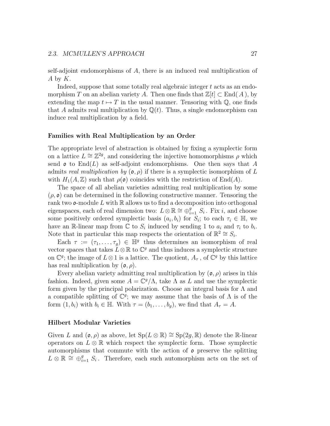self-adjoint endomorphisms of A, there is an induced real multiplication of A by  $K$ .

Indeed, suppose that some totally real algebraic integer  $t$  acts as an endomorphism T on an abelian variety A. Then one finds that  $\mathbb{Z}[t] \subset \text{End}(A)$ , by extending the map  $t \mapsto T$  in the usual manner. Tensoring with  $\mathbb{Q}$ , one finds that A admits real multiplication by  $\mathbb{Q}(t)$ . Thus, a single endomorphism can induce real multiplication by a field.

### Families with Real Multiplication by an Order

The appropriate level of abstraction is obtained by fixing a symplectic form on a lattice  $L \cong \mathbb{Z}^{2g}$ , and considering the injective homomorphisms  $\rho$  which send  $\mathfrak o$  to End(L) as self-adjoint endomorphisms. One then says that A admits real multiplication by  $(\rho, \rho)$  if there is a symplectic isomorphism of L with  $H_1(A,\mathbb{Z})$  such that  $\rho(\mathfrak{o})$  coincides with the restriction of End(A).

The space of all abelian varieties admitting real multiplication by some  $(\rho, \mathfrak{o})$  can be determined in the following constructive manner. Tensoring the rank two  $\mathfrak{o}$ -module L with  $\mathbb R$  allows us to find a decomposition into orthogonal eigenspaces, each of real dimension two:  $L \otimes \mathbb{R} \cong \bigoplus_{i=1}^{g} S_i$ . Fix i, and choose some positively ordered symplectic basis  $(a_i, b_i)$  for  $S_i$ ; to each  $\tau_i \in \mathbb{H}$ , we have an R-linear map from  $\overline{C}$  to  $S_i$  induced by sending 1 to  $a_i$  and  $\tau_i$  to  $b_i$ . Note that in particular this map respects the orientation of  $\mathbb{R}^2 \cong S_i$ .

Each  $\tau := (\tau_1, \ldots, \tau_g) \in \mathbb{H}^g$  thus determines an isomorphism of real vector spaces that takes  $L \otimes \mathbb{R}$  to  $\mathbb{C}^g$  and thus induces a symplectic structure on  $\mathbb{C}^g$ ; the image of  $L \otimes 1$  is a lattice. The quotient,  $A_{\tau}$ , of  $\mathbb{C}^g$  by this lattice has real multiplication by  $(\rho, \rho)$ .

Every abelian variety admitting real multiplication by  $(\rho, \rho)$  arises in this fashion. Indeed, given some  $A = \mathbb{C}^g/\Lambda$ , take  $\Lambda$  as L and use the symplectic form given by the principal polarization. Choose an integral basis for  $\Lambda$  and a compatible splitting of  $\mathbb{C}^g$ ; we may assume that the basis of  $\Lambda$  is of the form  $(1, b_i)$  with  $b_i \in \mathbb{H}$ . With  $\tau = (b_1, \ldots, b_q)$ , we find that  $A_{\tau} = A$ .

### Hilbert Modular Varieties

Given L and  $(\mathfrak{o}, \rho)$  as above, let  $Sp(L \otimes \mathbb{R}) \cong Sp(2g, \mathbb{R})$  denote the R-linear operators on  $L \otimes \mathbb{R}$  which respect the symplectic form. Those symplectic automorphisms that commute with the action of  $\rho$  preserve the splitting  $L \otimes \mathbb{R} \cong \bigoplus_{i=1}^{g} S_i$ . Therefore, each such automorphism acts on the set of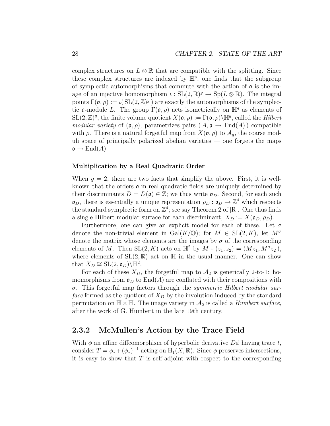complex structures on  $L \otimes \mathbb{R}$  that are compatible with the splitting. Since these complex structures are indexed by  $H<sup>g</sup>$ , one finds that the subgroup of symplectic automorphisms that commute with the action of  $\rho$  is the image of an injective homomorphism  $\iota : SL(2, \mathbb{R})^g \to Sp(L \otimes \mathbb{R})$ . The integral points  $\Gamma(\mathfrak{o}, \rho) := \iota(SL(2, \mathbb{Z})^g)$  are exactly the automorphisms of the symplectic **o**-module L. The group  $\Gamma(\mathfrak{o}, \rho)$  acts isometrically on  $\mathbb{H}^g$  as elements of  $\text{SL}(2,\mathbb{Z})^g$ , the finite volume quotient  $X(\mathfrak{o}, \rho) := \Gamma(\mathfrak{o}, \rho) \backslash \mathbb{H}^g$ , called the *Hilbert* modular variety of  $(\mathfrak{o}, \rho)$ , parametrizes pairs  $(A, \mathfrak{o} \to \text{End}(A))$  compatible with  $\rho$ . There is a natural forgetful map from  $X(\mathfrak{o}, \rho)$  to  $\mathcal{A}_q$ , the coarse moduli space of principally polarized abelian varieties — one forgets the maps  $\mathfrak{o} \to \mathrm{End}(A).$ 

### Multiplication by a Real Quadratic Order

When  $g = 2$ , there are two facts that simplify the above. First, it is wellknown that the orders  $\mathfrak o$  in real quadratic fields are uniquely determined by their discriminants  $D = D(\mathfrak{o}) \in \mathbb{Z}$ ; we thus write  $\mathfrak{o}_D$ . Second, for each such  $\mathfrak{o}_D$ , there is essentially a unique representation  $\rho_D : \mathfrak{o}_D \to \mathbb{Z}^4$  which respects the standard symplectic form on  $\mathbb{Z}^4$ ; see say Theorem 2 of [R]. One thus finds a single Hilbert modular surface for each discriminant,  $X_D := X(\mathfrak{o}_D, \rho_D)$ .

Furthermore, one can give an explicit model for each of these. Let  $\sigma$ denote the non-trivial element in Gal $(K/\mathbb{Q})$ ; for  $M \in SL(2, K)$ , let  $M^{\sigma}$ denote the matrix whose elements are the images by  $\sigma$  of the corresponding elements of M. Then  $SL(2, K)$  acts on  $\mathbb{H}^2$  by  $M \circ (z_1, z_2) = (Mz_1, M^{\sigma}z_2),$ where elements of  $SL(2,\mathbb{R})$  act on  $\mathbb H$  in the usual manner. One can show that  $X_D \cong SL(2, \mathfrak{o}_D) \backslash \mathbb{H}^2$ .

For each of these  $X_D$ , the forgetful map to  $A_2$  is generically 2-to-1: homomorphisms from  $\mathfrak{o}_D$  to End(A) are conflated with their compositions with  $\sigma$ . This forgetful map factors through the *symmetric Hilbert modular sur*face formed as the quotient of  $X_D$  by the involution induced by the standard permutation on  $\mathbb{H} \times \mathbb{H}$ . The image variety in  $\mathcal{A}_2$  is called a *Humbert surface*, after the work of G. Humbert in the late 19th century.

### 2.3.2 McMullen's Action by the Trace Field

With  $\phi$  an affine diffeomorphism of hyperbolic derivative  $D\phi$  having trace t, consider  $T = \phi_* + (\phi_*)^{-1}$  acting on  $H_1(X, \mathbb{R})$ . Since  $\phi$  preserves intersections, it is easy to show that  $T$  is self-adjoint with respect to the corresponding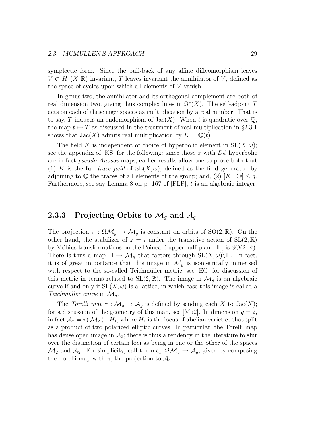symplectic form. Since the pull-back of any affine diffeomorphism leaves  $V \subset H^1(X,\mathbb{R})$  invariant, T leaves invariant the annihilator of V, defined as the space of cycles upon which all elements of V vanish.

In genus two, the annihilator and its orthogonal complement are both of real dimension two, giving thus complex lines in  $\Omega^*(X)$ . The self-adjoint T acts on each of these eigenspaces as multiplication by a real number. That is to say, T induces an endomorphism of  $Jac(X)$ . When t is quadratic over  $\mathbb{Q}$ , the map  $t \mapsto T$  as discussed in the treatment of real multiplication in §2.3.1 shows that  $Jac(X)$  admits real multiplication by  $K = \mathbb{Q}(t)$ .

The field K is independent of choice of hyperbolic element in  $SL(X, \omega)$ ; see the appendix of [KS] for the following: since those  $\phi$  with  $D\phi$  hyperbolic are in fact pseudo-Anosov maps, earlier results allow one to prove both that (1) K is the full trace field of  $SL(X, \omega)$ , defined as the field generated by adjoining to  $\mathbb Q$  the traces of all elements of the group; and, (2)  $[K : \mathbb Q] \leq g$ . Furthermore, see say Lemma 8 on p. 167 of  $[FLP]$ , t is an algebraic integer.

## 2.3.3 Projecting Orbits to  $\mathcal{M}_g$  and  $\mathcal{A}_g$

The projection  $\pi : \Omega \mathcal{M}_g \to \mathcal{M}_g$  is constant on orbits of SO(2, R). On the other hand, the stabilizer of  $z = i$  under the transitive action of  $SL(2,\mathbb{R})$ by Möbius transformations on the Poincaré upper half-plane,  $\mathbb{H}$ , is  $SO(2,\mathbb{R})$ . There is thus a map  $\mathbb{H} \to \mathcal{M}_q$  that factors through  $\mathrm{SL}(X,\omega)\backslash\mathbb{H}$ . In fact, it is of great importance that this image in  $\mathcal{M}_q$  is isometrically immersed with respect to the so-called Teichmüller metric, see [EG] for discussion of this metric in terms related to  $SL(2,\mathbb{R})$ . The image in  $\mathcal{M}_q$  is an algebraic curve if and only if  $SL(X, \omega)$  is a lattice, in which case this image is called a Teichmüller curve in  $\mathcal{M}_g$ .

The Torelli map  $\tau : \mathcal{M}_q \to \mathcal{A}_q$  is defined by sending each X to Jac(X); for a discussion of the geometry of this map, see [Mu2]. In dimension  $g = 2$ , in fact  $\mathcal{A}_2 = \tau(\mathcal{M}_2) \sqcup H_1$ , where  $H_1$  is the locus of abelian varieties that split as a product of two polarized elliptic curves. In particular, the Torelli map has dense open image in  $A_2$ ; there is thus a tendency in the literature to slur over the distinction of certain loci as being in one or the other of the spaces  $\mathcal{M}_2$  and  $\mathcal{A}_2$ . For simplicity, call the map  $\Omega \mathcal{M}_g \to \mathcal{A}_g$ , given by composing the Torelli map with  $\pi$ , the projection to  $\mathcal{A}_q$ .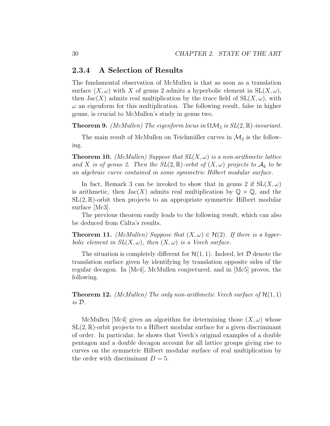### 2.3.4 A Selection of Results

The fundamental observation of McMullen is that as soon as a translation surface  $(X, \omega)$  with X of genus 2 admits a hyperbolic element in  $SL(X, \omega)$ , then  $Jac(X)$  admits real multiplication by the trace field of  $SL(X, \omega)$ , with  $\omega$  an eigenform for this multiplication. The following result, false in higher genus, is crucial to McMullen's study in genus two.

**Theorem 9.** (McMullen) The eigenform locus in  $\Omega \mathcal{M}_2$  is  $SL(2,\mathbb{R})$ -invariant.

The main result of McMullen on Teichmüller curves in  $\mathcal{M}_2$  is the following.

**Theorem 10.** (McMullen) Suppose that  $SL(X, \omega)$  is a non-arithmetic lattice and X is of genus 2. Then the  $SL(2,\mathbb{R})$ -orbit of  $(X,\omega)$  projects to  $\mathcal{A}_2$  to be an algebraic curve contained in some symmetric Hilbert modular surface.

In fact, Remark 3 can be invoked to show that in genus 2 if  $SL(X, \omega)$ is arithmetic, then  $Jac(X)$  admits real multiplication by  $\mathbb{Q} \times \mathbb{Q}$ , and the  $SL(2,\mathbb{R})$ -orbit then projects to an appropriate symmetric Hilbert modular surface [Mc3].

The previous theorem easily leads to the following result, which can also be deduced from Calta's results.

**Theorem 11.** (McMullen) Suppose that  $(X, \omega) \in \mathcal{H}(2)$ . If there is a hyperbolic element in  $SL(X, \omega)$ , then  $(X, \omega)$  is a Veech surface.

The situation is completely different for  $\mathcal{H}(1,1)$ . Indeed, let  $\mathcal D$  denote the translation surface given by identifying by translation opposite sides of the regular decagon. In [Mc4], McMullen conjectured, and in [Mc5] proves, the following.

**Theorem 12.** (McMullen) The only non-arithmetic Veech surface of  $\mathcal{H}(1,1)$ is D.

McMullen [Mc4] gives an algorithm for determining those  $(X, \omega)$  whose  $SL(2,\mathbb{R})$ -orbit projects to a Hilbert modular surface for a given discriminant of order. In particular, he shows that Veech's original examples of a double pentagon and a double decagon account for all lattice groups giving rise to curves on the symmetric Hilbert modular surface of real multiplication by the order with discriminant  $D = 5$ .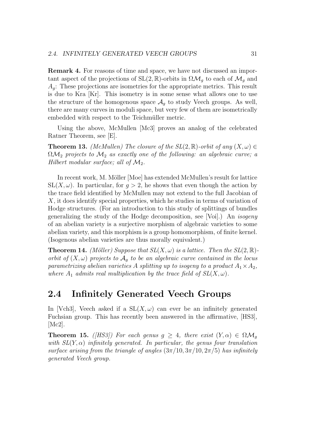Remark 4. For reasons of time and space, we have not discussed an important aspect of the projections of  $SL(2,\mathbb{R})$ -orbits in  $\Omega \mathcal{M}_g$  to each of  $\mathcal{M}_g$  and  $A_q$ : These projections are isometries for the appropriate metrics. This result is due to Kra [Kr]. This isometry is in some sense what allows one to use the structure of the homogenous space  $A<sub>g</sub>$  to study Veech groups. As well, there are many curves in moduli space, but very few of them are isometrically embedded with respect to the Teichmüller metric.

Using the above, McMullen [Mc3] proves an analog of the celebrated Ratner Theorem, see [E].

**Theorem 13.** (McMullen) The closure of the  $SL(2,\mathbb{R})$ -orbit of any  $(X,\omega) \in$  $\Omega \mathcal{M}_2$  projects to  $\mathcal{M}_2$  as exactly one of the following: an algebraic curve; a Hilbert modular surface; all of  $\mathcal{M}_2$ .

In recent work, M. Möller [Moe] has extended McMullen's result for lattice  $SL(X, \omega)$ . In particular, for  $q > 2$ , he shows that even though the action by the trace field identified by McMullen may not extend to the full Jacobian of X, it does identify special properties, which he studies in terms of variation of Hodge structures. (For an introduction to this study of splittings of bundles generalizing the study of the Hodge decomposition, see [Voi].) An isogeny of an abelian variety is a surjective morphism of algebraic varieties to some abelian variety, and this morphism is a group homomorphism, of finite kernel. (Isogenous abelian varieties are thus morally equivalent.)

**Theorem 14.** (Möller) Suppose that  $SL(X, \omega)$  is a lattice. Then the  $SL(2, \mathbb{R})$ orbit of  $(X, \omega)$  projects to  $\mathcal{A}_q$  to be an algebraic curve contained in the locus parametrizing abelian varieties A splitting up to isogeny to a product  $A_1 \times A_2$ , where  $A_1$  admits real multiplication by the trace field of  $SL(X, \omega)$ .

# 2.4 Infinitely Generated Veech Groups

In [Vch3], Veech asked if a  $SL(X, \omega)$  can ever be an infinitely generated Fuchsian group. This has recently been answered in the affirmative, [HS3], [Mc2].

**Theorem 15.** ([HS3]) For each genus  $g \geq 4$ , there exist  $(Y, \alpha) \in \Omega \mathcal{M}_g$ with  $SL(Y, \alpha)$  infinitely generated. In particular, the genus four translation surface arising from the triangle of angles  $(3\pi/10, 3\pi/10, 2\pi/5)$  has infinitely generated Veech group.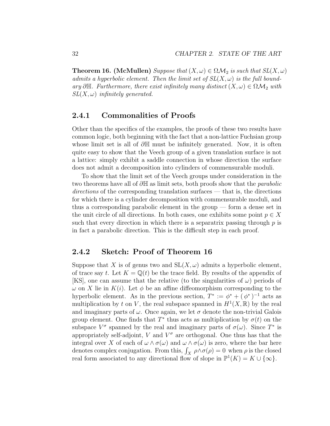**Theorem 16.** (McMullen) Suppose that  $(X, \omega) \in \Omega \mathcal{M}_2$  is such that  $SL(X, \omega)$ admits a hyperbolic element. Then the limit set of  $SL(X, \omega)$  is the full boundary ∂H. Furthermore, there exist infinitely many distinct  $(X, \omega) \in \Omega \mathcal{M}_2$  with  $SL(X, \omega)$  infinitely generated.

### 2.4.1 Commonalities of Proofs

Other than the specifics of the examples, the proofs of these two results have common logic, both beginning with the fact that a non-lattice Fuchsian group whose limit set is all of  $\partial \mathbb{H}$  must be infinitely generated. Now, it is often quite easy to show that the Veech group of a given translation surface is not a lattice: simply exhibit a saddle connection in whose direction the surface does not admit a decomposition into cylinders of commensurable moduli.

To show that the limit set of the Veech groups under consideration in the two theorems have all of  $\partial \mathbb{H}$  as limit sets, both proofs show that the *parabolic* directions of the corresponding translation surfaces — that is, the directions for which there is a cylinder decomposition with commensurable moduli, and thus a corresponding parabolic element in the group — form a dense set in the unit circle of all directions. In both cases, one exhibits some point  $p \in X$ such that every direction in which there is a separatrix passing through  $p$  is in fact a parabolic direction. This is the difficult step in each proof.

### 2.4.2 Sketch: Proof of Theorem 16

Suppose that X is of genus two and  $SL(X, \omega)$  admits a hyperbolic element, of trace say t. Let  $K = \mathbb{Q}(t)$  be the trace field. By results of the appendix of [KS], one can assume that the relative (to the singularities of  $\omega$ ) periods of  $\omega$  on X lie in  $K(i)$ . Let  $\phi$  be an affine diffeomorphism corresponding to the hyperbolic element. As in the previous section,  $T^* := \phi^* + (\phi^*)^{-1}$  acts as multiplication by t on V, the real subspace spanned in  $H^1(X,\mathbb{R})$  by the real and imaginary parts of  $\omega$ . Once again, we let  $\sigma$  denote the non-trivial Galois group element. One finds that  $T^*$  thus acts as multiplication by  $\sigma(t)$  on the subspace  $V^{\sigma}$  spanned by the real and imaginary parts of  $\sigma(\omega)$ . Since  $T^*$  is appropriately self-adjoint, V and  $V^{\sigma}$  are orthogonal. One thus has that the integral over X of each of  $\omega \wedge \sigma(\omega)$  and  $\omega \wedge \sigma(\omega)$  is zero, where the bar here denotes complex conjugation. From this,  $\int_X \rho \wedge \sigma(\rho) = 0$  when  $\rho$  is the closed real form associated to any directional flow of slope in  $\mathbb{P}^1(K) = K \cup \{\infty\}.$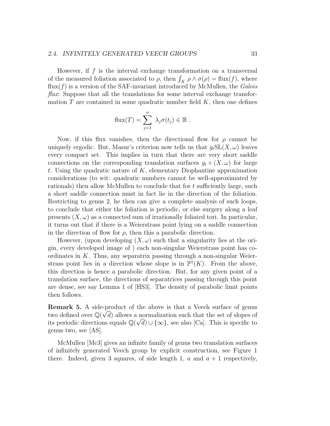#### 2.4. INFINITELY GENERATED VEECH GROUPS 33

However, if  $f$  is the interval exchange transformation on a transversal of the measured foliation associated to  $\rho$ , then  $\int_X \rho \wedge \sigma(\rho) = \text{flux}(f)$ , where  $\text{flux}(f)$  is a version of the SAF-invariant introduced by McMullen, the Galois  $flux.$  Suppose that all the translations for some interval exchange transformation  $T$  are contained in some quadratic number field  $K$ , then one defines

$$
\text{flux}(T) = \sum_{j=1}^{n} \lambda_j \sigma(t_j) \in \mathbb{R}.
$$

Now, if this flux vanishes, then the directional flow for  $\rho$  cannot be uniquely ergodic. But, Masur's criterion now tells us that  $q_tSL(X, \omega)$  leaves every compact set. This implies in turn that there are very short saddle connections on the corresponding translation surfaces  $g_t \circ (X, \omega)$  for large t. Using the quadratic nature of  $K$ , elementary Diophantine approximation considerations (to wit: quadratic numbers cannot be well-approximated by rationals) then allow McMullen to conclude that for t sufficiently large, such a short saddle connection must in fact lie in the direction of the foliation. Restricting to genus 2, he then can give a complete analysis of such loops, to conclude that either the foliation is periodic, or else surgery along a leaf presents  $(X, \omega)$  as a connected sum of irrationally foliated tori. In particular, it turns out that if there is a Weierstrass point lying on a saddle connection in the direction of flow for  $\rho$ , then this a parabolic direction.

However, (upon developing  $(X, \omega)$  such that a singularity lies at the origin, every developed image of ) each non-singular Weierstrass point has coordinates in  $K$ . Thus, any separatrix passing through a non-singular Weierstrass point lies in a direction whose slope is in  $\mathbb{P}^1(K)$ . From the above, this direction is hence a parabolic direction. But, for any given point of a translation surface, the directions of separatrices passing through this point are dense, see say Lemma 1 of [HS3]. The density of parabolic limit points then follows.

**Remark 5.** A side-product of the above is that a Veech surface of genus two defined over  $\mathbb{Q}(\sqrt{d})$  allows a normalization such that the set of slopes of its periodic directions equals  $\mathbb{Q}(\sqrt{d}) \cup \{\infty\}$ , see also [Ca]. This is specific to genus two, see [AS].

McMullen [Mc3] gives an infinite family of genus two translation surfaces of infinitely generated Veech group by explicit construction, see Figure 1 there. Indeed, given 3 squares, of side length 1, a and  $a + 1$  respectively,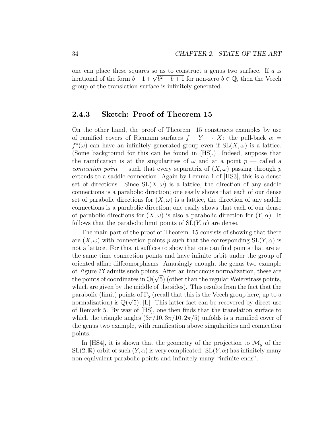one can place these squares so as to construct a genus two surface. If a is one can place these squares so as to construct a genus two surface. If a is<br>irrational of the form  $b - 1 + \sqrt{b^2 - b + 1}$  for non-zero  $b \in \mathbb{Q}$ , then the Veech group of the translation surface is infinitely generated.

### 2.4.3 Sketch: Proof of Theorem 15

On the other hand, the proof of Theorem 15 constructs examples by use of ramified covers of Riemann surfaces  $f : Y \to X$ : the pull-back  $\alpha =$  $f^*(\omega)$  can have an infinitely generated group even if  $SL(X, \omega)$  is a lattice. (Some background for this can be found in [HS].) Indeed, suppose that the ramification is at the singularities of  $\omega$  and at a point  $p$  — called a connection point — such that every separatrix of  $(X, \omega)$  passing through p extends to a saddle connection. Again by Lemma 1 of [HS3], this is a dense set of directions. Since  $SL(X, \omega)$  is a lattice, the direction of any saddle connections is a parabolic direction; one easily shows that each of our dense set of parabolic directions for  $(X, \omega)$  is a lattice, the direction of any saddle connections is a parabolic direction; one easily shows that each of our dense of parabolic directions for  $(X, \omega)$  is also a parabolic direction for  $(Y, \alpha)$ . It follows that the parabolic limit points of  $SL(Y, \alpha)$  are dense.

The main part of the proof of Theorem 15 consists of showing that there are  $(X, \omega)$  with connection points p such that the corresponding  $SL(Y, \alpha)$  is not a lattice. For this, it suffices to show that one can find points that are at the same time connection points and have infinite orbit under the group of oriented affine diffeomorphisms. Amusingly enough, the genus two example of Figure ?? admits such points. After an innocuous normalization, these are the points of coordinates in  $\mathbb{Q}(\sqrt{5})$  (other than the regular Weierstrass points, which are given by the middle of the sides). This results from the fact that the parabolic (limit) points of  $\Gamma_5$  (recall that this is the Veech group here, up to a normalization) is  $\mathbb{Q}(\sqrt{5})$ , [L]. This latter fact can be recovered by direct use of Remark 5. By way of [HS], one then finds that the translation surface to which the triangle angles  $\left(3\pi/10, 3\pi/10, 2\pi/5\right)$  unfolds is a ramified cover of the genus two example, with ramification above singularities and connection points.

In [HS4], it is shown that the geometry of the projection to  $\mathcal{M}_g$  of the  $SL(2,\mathbb{R})$ -orbit of such  $(Y,\alpha)$  is very complicated:  $SL(Y,\alpha)$  has infinitely many non-equivalent parabolic points and infinitely many "infinite ends".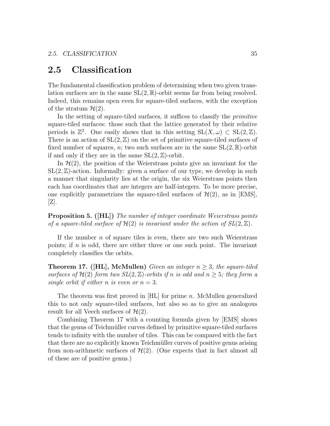## 2.5 Classification

The fundamental classification problem of determining when two given translation surfaces are in the same  $SL(2,\mathbb{R})$ -orbit seems far from being resolved. Indeed, this remains open even for square-tiled surfaces, with the exception of the stratum  $\mathcal{H}(2)$ .

In the setting of square-tiled surfaces, it suffices to classify the primitive square-tiled surfaces: those such that the lattice generated by their relative periods is  $\mathbb{Z}^2$ . One easily shows that in this setting  $SL(X, \omega) \subset SL(2, \mathbb{Z})$ . There is an action of  $SL(2, \mathbb{Z})$  on the set of primitive square-tiled surfaces of fixed number of squares, n; two such surfaces are in the same  $SL(2,\mathbb{R})$ -orbit if and only if they are in the same  $SL(2, \mathbb{Z})$ -orbit.

In  $\mathcal{H}(2)$ , the position of the Weierstrass points give an invariant for the  $SL(2,\mathbb{Z})$ -action. Informally: given a surface of our type, we develop in such a manner that singularity lies at the origin, the six Weierstrass points then each has coordinates that are integers are half-integers. To be more precise, one explicitly parametrizes the square-tiled surfaces of  $\mathcal{H}(2)$ , as in [EMS], [Z].

Proposition 5. ([HL]) The number of integer coordinate Weierstrass points of a square-tiled surface of  $\mathcal{H}(2)$  is invariant under the action of  $SL(2,\mathbb{Z})$ .

If the number  $n$  of square tiles is even, there are two such Weierstrass points; if  $n$  is odd, there are either three or one such point. The invariant completely classifies the orbits.

**Theorem 17.** ([HL], McMullen) Given an integer  $n \geq 3$ , the square-tiled surfaces of  $\mathcal{H}(2)$  form two  $SL(2,\mathbb{Z})$ -orbits if n is odd and  $n \geq 5$ ; they form a single orbit if either *n* is even or  $n = 3$ .

The theorem was first proved in  $[HL]$  for prime n. McMullen generalized this to not only square-tiled surfaces, but also so as to give an analogous result for all Veech surfaces of  $\mathcal{H}(2)$ .

Combining Theorem 17 with a counting formula given by [EMS] shows that the genus of Teichmüller curves defined by primitive square-tiled surfaces tends to infinity with the number of tiles. This can be compared with the fact that there are no explicitly known Teichmüller curves of positive genus arising from non-arithmetic surfaces of  $\mathcal{H}(2)$ . (One expects that in fact almost all of these are of positive genus.)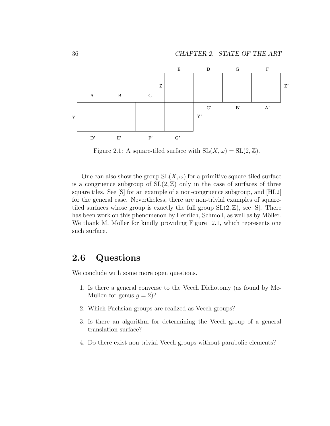

Figure 2.1: A square-tiled surface with  $SL(X, \omega) = SL(2, \mathbb{Z})$ .

One can also show the group  $SL(X, \omega)$  for a primitive square-tiled surface is a congruence subgroup of  $SL(2, \mathbb{Z})$  only in the case of surfaces of three square tiles. See [S] for an example of a non-congruence subgroup, and [HL2] for the general case. Nevertheless, there are non-trivial examples of squaretiled surfaces whose group is exactly the full group  $SL(2, \mathbb{Z})$ , see [S]. There has been work on this phenomenon by Herrlich, Schmoll, as well as by Möller. We thank M. Möller for kindly providing Figure  $2.1$ , which represents one such surface.

## 2.6 Questions

We conclude with some more open questions.

- 1. Is there a general converse to the Veech Dichotomy (as found by Mc-Mullen for genus  $g = 2$ ?
- 2. Which Fuchsian groups are realized as Veech groups?
- 3. Is there an algorithm for determining the Veech group of a general translation surface?
- 4. Do there exist non-trivial Veech groups without parabolic elements?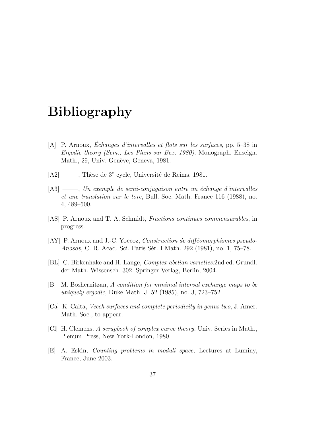# Bibliography

- [A] P. Arnoux, *Échanges d'intervalles et flots sur les surfaces*, pp.  $5-38$  in Ergodic theory (Sem., Les Plans-sur-Bex, 1980), Monograph. Enseign. Math., 29, Univ. Genève, Geneva, 1981.
- $[A2] \longrightarrow$ , Thèse de  $3^e$  cycle, Université de Reims, 1981.
- $[A3] \longrightarrow$ , Un exemple de semi-conjugaison entre un échange d'intervalles et une translation sur le tore, Bull. Soc. Math. France 116 (1988), no. 4, 489–500.
- [AS] P. Arnoux and T. A. Schmidt, Fractions continues commensurables, in progress.
- $[AY]$  P. Arnoux and J.-C. Yoccoz, Construction de difféomorphismes pseudo-Anosov, C. R. Acad. Sci. Paris Sér. I Math. 292 (1981), no. 1, 75–78.
- [BL] C. Birkenhake and H. Lange, Complex abelian varieties.2nd ed. Grundl. der Math. Wissensch. 302. Springer-Verlag, Berlin, 2004.
- [B] M. Boshernitzan, A condition for minimal interval exchange maps to be uniquely ergodic, Duke Math. J. 52 (1985), no. 3, 723–752.
- [Ca] K. Calta, Veech surfaces and complete periodicity in genus two, J. Amer. Math. Soc., to appear.
- [Cl] H. Clemens, A scrapbook of complex curve theory. Univ. Series in Math., Plenum Press, New York-London, 1980.
- [E] A. Eskin, Counting problems in moduli space, Lectures at Luminy, France, June 2003.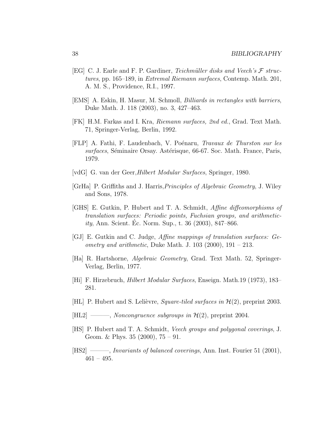- [EG] C. J. Earle and F. P. Gardiner, Teichmüller disks and Veech's  $\mathcal F$  structures, pp. 165–189, in Extremal Riemann surfaces, Contemp. Math. 201, A. M. S., Providence, R.I., 1997.
- [EMS] A. Eskin, H. Masur, M. Schmoll, Billiards in rectangles with barriers, Duke Math. J. 118 (2003), no. 3, 427–463.
- [FK] H.M. Farkas and I. Kra, Riemann surfaces, 2nd ed., Grad. Text Math. 71, Springer-Verlag, Berlin, 1992.
- [FLP] A. Fathi, F. Laudenbach, V. Poénaru, *Travaux de Thurston sur les* surfaces, Séminaire Orsay. Astérisque, 66-67. Soc. Math. France, Paris, 1979.
- [vdG] G. van der Geer,Hilbert Modular Surfaces, Springer, 1980.
- [GrHa] P. Griffiths and J. Harris, *Principles of Algebraic Geometry*, J. Wiley and Sons, 1978.
- [GHS] E. Gutkin, P. Hubert and T. A. Schmidt, Affine diffeomorphisms of translation surfaces: Periodic points, Fuchsian groups, and arithmetic $ity$ , Ann. Scient. Ec. Norm. Sup., t. 36 (2003), 847–866.
- [GJ] E. Gutkin and C. Judge, Affine mappings of translation surfaces: Ge*ometry and arithmetic*, Duke Math. J.  $103$  (2000),  $191 - 213$ .
- [Ha] R. Hartshorne, Algebraic Geometry, Grad. Text Math. 52, Springer-Verlag, Berlin, 1977.
- [Hi] F. Hirzebruch, Hilbert Modular Surfaces, Enseign. Math.19 (1973), 183– 281.
- [HL] P. Hubert and S. Lelièvre, *Square-tiled surfaces in*  $\mathcal{H}(2)$ , preprint 2003.
- $[HL2]$  ——, Noncongruence subgroups in  $\mathcal{H}(2)$ , preprint 2004.
- [HS] P. Hubert and T. A. Schmidt, Veech groups and polygonal coverings, J. Geom. & Phys. 35 (2000), 75 – 91.
- [HS2] ——, *Invariants of balanced coverings*, Ann. Inst. Fourier 51 (2001),  $461 - 495.$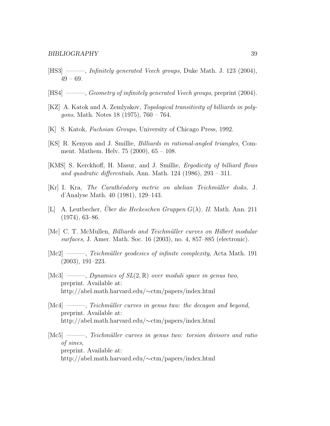- [HS3] ———, Infinitely generated Veech groups, Duke Math. J. 123 (2004),  $49 - 69.$
- [HS4] ——, *Geometry of infinitely generated Veech groups*, preprint (2004).
- [KZ] A. Katok and A. Zemlyakov, Topological transitivity of billiards in polygons, Math. Notes 18 (1975), 760 – 764.
- [K] S. Katok, Fuchsian Groups, University of Chicago Press, 1992.
- [KS] R. Kenyon and J. Smillie, Billiards in rational-angled triangles, Comment. Mathem. Helv. 75 (2000), 65 – 108.
- [KMS] S. Kerckhoff, H. Masur, and J. Smillie, Ergodicity of billiard flows and quadratic differentials, Ann. Math.  $124$  (1986),  $293 - 311$ .
- [Kr] I. Kra, The Carath´eodory metric on abelian Teichm¨uller disks, J. d'Analyse Math. 40 (1981), 129–143.
- [L] A. Leutbecher, *Über die Heckeschen Gruppen G(* $\lambda$ *). II.* Math. Ann. 211 (1974), 63–86.
- [Mc] C. T. McMullen, *Billiards and Teichmüller curves on Hilbert modular* surfaces, J. Amer. Math. Soc. 16 (2003), no. 4, 857–885 (electronic).
- [Mc2] ——, Teichmüller geodesics of infinite complexity, Acta Math. 191 (2003), 191–223.
- [Mc3] ——, Dynamics of  $SL(2,\mathbb{R})$  over moduli space in genus two, preprint. Available at: http://abel.math.harvard.edu/∼ctm/papers/index.html
- $[Mc4] \longrightarrow$ , Teichmüller curves in genus two: the decagon and beyond, preprint. Available at: http://abel.math.harvard.edu/∼ctm/papers/index.html
- [Mc5] ——, Teichmüller curves in genus two: torsion divisors and ratio of sines, preprint. Available at: http://abel.math.harvard.edu/∼ctm/papers/index.html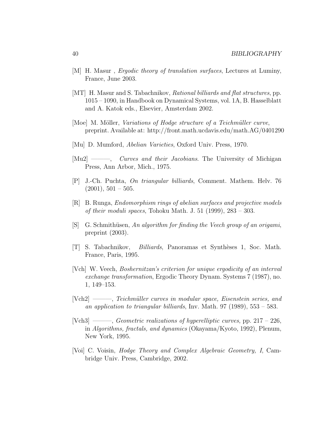- [M] H. Masur, *Ergodic theory of translation surfaces*, Lectures at Luminy, France, June 2003.
- [MT] H. Masur and S. Tabachnikov, Rational billiards and flat structures, pp. 1015 – 1090, in Handbook on Dynamical Systems, vol. 1A, B. Hasselblatt and A. Katok eds., Elsevier, Amsterdam 2002.
- [Moe] M. Möller, *Variations of Hodge structure of a Teichmüller curve*, preprint. Available at: http://front.math.ucdavis.edu/math.AG/0401290
- [Mu] D. Mumford, Abelian Varieties, Oxford Univ. Press, 1970.
- [Mu2] ——, *Curves and their Jacobians*. The University of Michigan Press, Ann Arbor, Mich., 1975.
- [P] J.-Ch. Puchta, On triangular billiards, Comment. Mathem. Helv. 76  $(2001), 501 - 505.$
- [R] B. Runga, Endomorphism rings of abelian surfaces and projective models of their moduli spaces, Tohoku Math. J. 51 (1999), 283 – 303.
- $[S]$  G. Schmithüsen, An algorithm for finding the Veech group of an origami, preprint (2003).
- [T] S. Tabachnikov, Billiards, Panoramas et Synth`eses 1, Soc. Math. France, Paris, 1995.
- [Vch] W. Veech, Boshernitzan's criterion for unique ergodicity of an interval exchange transformation, Ergodic Theory Dynam. Systems 7 (1987), no. 1, 149–153.
- [Vch2] ———, Teichm¨uller curves in modular space, Eisenstein series, and an application to triangular billiards, Inv. Math. 97 (1989), 553 – 583.
- [Vch3] ——, Geometric realizations of hyperelliptic curves, pp.  $217 226$ , in Algorithms, fractals, and dynamics (Okayama/Kyoto, 1992), Plenum, New York, 1995.
- [Voi] C. Voisin, Hodge Theory and Complex Algebraic Geometry, I, Cambridge Univ. Press, Cambridge, 2002.